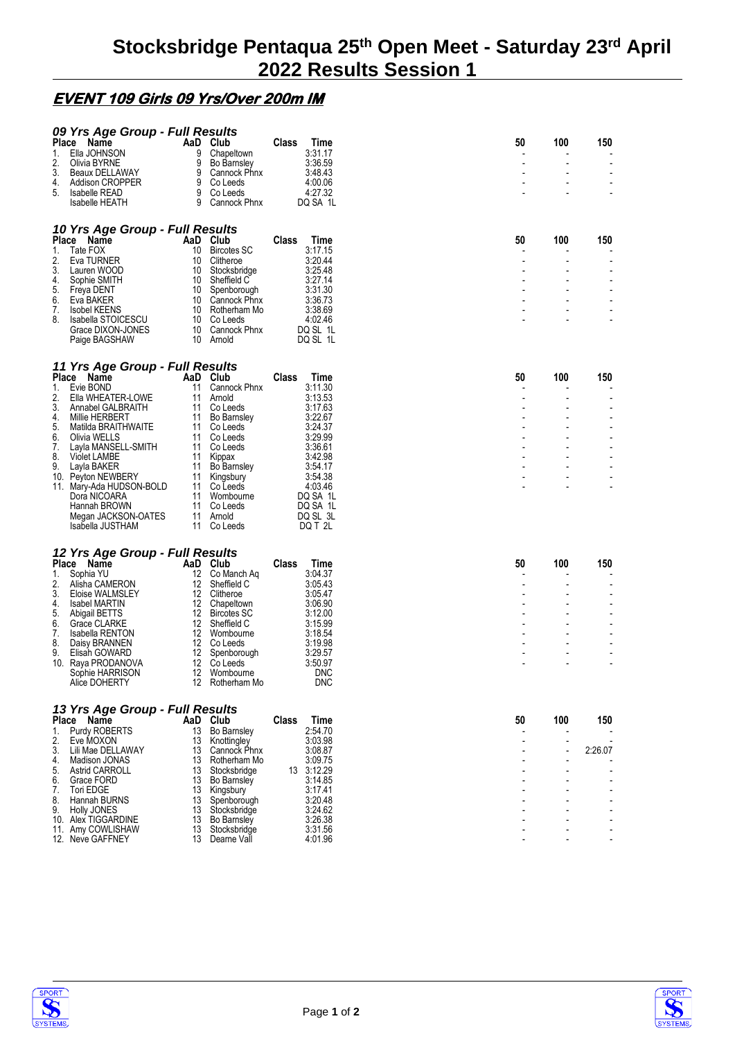## **EVENT 109 Girls 09 Yrs/Over 200m IM**

|            | 09 Yrs Age Group - Full Results               |          |                                    |                          |    |     |                                 |
|------------|-----------------------------------------------|----------|------------------------------------|--------------------------|----|-----|---------------------------------|
|            | Place<br>Name                                 | AaD      | Club                               | Class<br>Time            | 50 | 100 | 150                             |
| 1.         | Ella JOHNSON                                  | 9        | Chapeltown                         | 3:31.17                  |    |     |                                 |
| 2.<br>3.   | Olivia BYRNE<br>Beaux DELLAWAY                | 9<br>9   | <b>Bo Barnsley</b><br>Cannock Phnx | 3:36.59<br>3:48.43       |    |     |                                 |
| 4.         | <b>Addison CROPPER</b>                        | 9        | Co Leeds                           | 4:00.06                  |    | ÷,  |                                 |
| 5.         | <b>Isabelle READ</b><br><b>Isabelle HEATH</b> | 9<br>9   | Co Leeds<br>Cannock Phnx           | 4:27.32<br>DQ SA 1L      |    |     |                                 |
|            |                                               |          |                                    |                          |    |     |                                 |
|            | 10 Yrs Age Group - Full Results               |          |                                    |                          |    |     |                                 |
|            | Place<br>Name                                 |          | AaD Club                           | Class<br>Time            | 50 | 100 | 150                             |
| 1.<br>2.   | Tate FOX<br>Eva TURNER                        | 10<br>10 | <b>Bircotes SC</b><br>Clitheroe    | 3:17.15<br>3:20.44       |    | ÷,  |                                 |
| 3.         | Lauren WOOD                                   | 10       | Stocksbridge                       | 3:25.48                  |    |     |                                 |
| 4.         | Sophie SMITH                                  | 10       | Sheffield C                        | 3:27.14                  |    |     | $\overline{\phantom{a}}$        |
| 5.<br>6.   | Freya DENT<br>Eva BAKER                       | 10<br>10 | Spenborough<br>Cannock Phnx        | 3:31.30<br>3:36.73       |    |     |                                 |
| 7.         | <b>Isobel KEENS</b>                           | 10       | Rotherham Mo                       | 3:38.69                  |    |     | $\overline{\phantom{a}}$        |
| 8.         | Isabella STOICESCU<br>Grace DIXON-JONES       | 10<br>10 | Co Leeds<br>Cannock Phnx           | 4:02.46<br>DQ SL 1L      |    |     |                                 |
|            | Paige BAGSHAW                                 | 10       | Arnold                             | DQ SL 1L                 |    |     |                                 |
|            |                                               |          |                                    |                          |    |     |                                 |
| Place      | 11 Yrs Age Group - Full Results               | AaD      | Club                               |                          | 50 | 100 |                                 |
| 1.         | Name<br>Evie BOND                             | 11       | Cannock Phnx                       | Class<br>Time<br>3:11.30 |    |     | 150<br>$\overline{\phantom{a}}$ |
| 2.         | Ella WHEATER-LOWE                             | 11       | Arnold                             | 3:13.53                  |    | ÷,  | $\overline{\phantom{a}}$        |
| 3.<br>4.   | Annabel GALBRAITH<br>Millie HERBERT           | 11<br>11 | Co Leeds<br><b>Bo Barnsley</b>     | 3:17.63<br>3:22.67       |    |     | $\overline{\phantom{a}}$        |
| 5.         | Matilda BRAITHWAITE                           | 11       | Co Leeds                           | 3:24.37                  |    |     | $\overline{\phantom{a}}$        |
| 6.<br>7.   | Olivia WELLS<br>Layla MANSELL-SMITH           | 11<br>11 | Co Leeds<br>Co Leeds               | 3:29.99<br>3:36.61       |    |     | $\overline{\phantom{a}}$        |
| 8.         | Violet LAMBE                                  | 11       | Kippax                             | 3:42.98                  |    |     | $\overline{\phantom{a}}$        |
| 9.         | Layla BAKER                                   | 11       | <b>Bo Barnsley</b>                 | 3:54.17                  |    |     |                                 |
| 10.<br>11. | Peyton NEWBERY<br>Mary-Ada HUDSON-BOLD        | 11<br>11 | Kingsbury<br>Co Leeds              | 3:54.38<br>4:03.46       |    |     | $\overline{\phantom{a}}$        |
|            | Dora NICOARA                                  | 11       | Wombourne                          | DQ SA 1L                 |    |     |                                 |
|            | Hannah BROWN<br>Megan JACKSON-OATES           | 11<br>11 | Co Leeds<br>Arnold                 | DQ SA 1L<br>DQ SL 3L     |    |     |                                 |
|            | Isabella JUSTHAM                              | 11       | Co Leeds                           | DQ T 2L                  |    |     |                                 |
|            |                                               |          |                                    |                          |    |     |                                 |
|            | 12 Yrs Age Group - Full Results<br>Place Name | AaD      | Club                               | Class<br>Time            | 50 | 100 | 150                             |
| 1.         | Sophia YU                                     | 12       | Co Manch Aq                        | 3:04.37                  |    |     |                                 |
| 3.         | Alisha CAMERON<br>Eloise WALMSLEY             | 12<br>12 | Sheffield C<br>Clitheroe           | 3:05.43<br>3:05.47       |    |     | $\overline{\phantom{a}}$        |
| 4.         | <b>Isabel MARTIN</b>                          | 12       | Chapeltown                         | 3:06.90                  |    |     |                                 |
| 5.         | Abigail BETTS                                 | 12       | <b>Bircotes SC</b>                 | 3:12.00                  |    |     | $\overline{\phantom{a}}$        |
| 6.<br>7.   | Grace CLARKE<br>Isabella RENTON               | 12<br>12 | Sheffield C<br>Wombourne           | 3:15.99<br>3:18.54       |    |     |                                 |
| 8.         | Daisy BRANNEN                                 | 12       | Co Leeds                           | 3:19.98                  |    |     | $\overline{\phantom{a}}$        |
| 9.<br>10.  | Elisah GOWARD<br>Raya PRODANOVA               | 12<br>12 | Spenborough<br>Co Leeds            | 3:29.57<br>3:50.97       |    |     |                                 |
|            | Sophie HARRISON                               | 12       | Wombourne                          | <b>DNC</b>               |    |     |                                 |
|            | Alice DOHERTY                                 | 12       | Rotherham Mo                       | <b>DNC</b>               |    |     |                                 |
|            | 13 Yrs Age Group - Full Results               |          |                                    |                          |    |     |                                 |
|            | Place Name                                    |          | AaD Club                           | <b>Class</b><br>Time     | 50 | 100 | 150                             |
| 1.         | Purdy ROBERTS                                 | 13       | <b>Bo Barnsley</b>                 | 2:54.70                  |    |     |                                 |
| 2.<br>3.   | Eve MOXON<br>Lili Mae DELLAWAY                | 13<br>13 | Knottingley<br>Cannock Phnx        | 3:03.98<br>3:08.87       |    |     | 2:26.07                         |
| 4.         | Madison JONAS                                 | 13       | Rotherham Mo                       | 3:09.75                  |    |     |                                 |
| 5.<br>6.   | <b>Astrid CARROLL</b><br>Grace FORD           | 13<br>13 | Stocksbridge<br><b>Bo Barnsley</b> | 13<br>3:12.29<br>3:14.85 |    |     | $\overline{\phantom{a}}$        |
| 7.         | <b>Tori EDGE</b>                              | 13       | Kingsbury                          | 3:17.41                  |    |     | $\overline{\phantom{a}}$        |
| 8.<br>9.   | Hannah BURNS<br><b>Holly JONES</b>            | 13<br>13 | Spenborough<br>Stocksbridge        | 3:20.48<br>3:24.62       |    |     | $\overline{\phantom{a}}$        |
|            | 10. Alex TIGGARDINE                           | 13       | Bo Barnsley                        | 3:26.38                  |    |     |                                 |
|            | 11. Amy COWLISHAW<br>12. Neve GAFFNEY         | 13<br>13 | Stocksbridge<br>Dearne Vall        | 3:31.56<br>4:01.96       |    |     |                                 |
|            |                                               |          |                                    |                          |    |     |                                 |